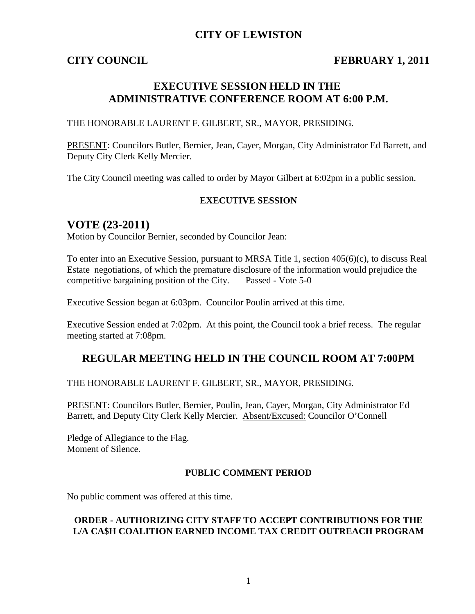## **CITY OF LEWISTON**

## **CITY COUNCIL FEBRUARY 1, 2011**

## **EXECUTIVE SESSION HELD IN THE ADMINISTRATIVE CONFERENCE ROOM AT 6:00 P.M.**

THE HONORABLE LAURENT F. GILBERT, SR., MAYOR, PRESIDING.

PRESENT: Councilors Butler, Bernier, Jean, Cayer, Morgan, City Administrator Ed Barrett, and Deputy City Clerk Kelly Mercier.

The City Council meeting was called to order by Mayor Gilbert at 6:02pm in a public session.

#### **EXECUTIVE SESSION**

## **VOTE (23-2011)**

Motion by Councilor Bernier, seconded by Councilor Jean:

To enter into an Executive Session, pursuant to MRSA Title 1, section 405(6)(c), to discuss Real Estate negotiations, of which the premature disclosure of the information would prejudice the competitive bargaining position of the City. Passed - Vote 5-0

Executive Session began at 6:03pm. Councilor Poulin arrived at this time.

Executive Session ended at 7:02pm. At this point, the Council took a brief recess. The regular meeting started at 7:08pm.

## **REGULAR MEETING HELD IN THE COUNCIL ROOM AT 7:00PM**

THE HONORABLE LAURENT F. GILBERT, SR., MAYOR, PRESIDING.

PRESENT: Councilors Butler, Bernier, Poulin, Jean, Cayer, Morgan, City Administrator Ed Barrett, and Deputy City Clerk Kelly Mercier. Absent/Excused: Councilor O'Connell

Pledge of Allegiance to the Flag. Moment of Silence.

#### **PUBLIC COMMENT PERIOD**

No public comment was offered at this time.

## **ORDER - AUTHORIZING CITY STAFF TO ACCEPT CONTRIBUTIONS FOR THE L/A CA\$H COALITION EARNED INCOME TAX CREDIT OUTREACH PROGRAM**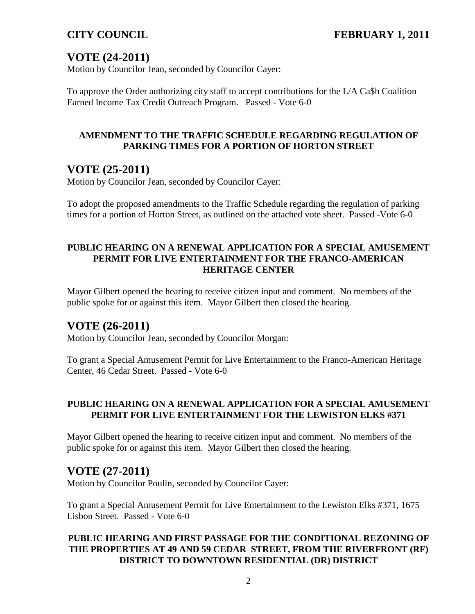# **VOTE (24-2011)**

Motion by Councilor Jean, seconded by Councilor Cayer:

To approve the Order authorizing city staff to accept contributions for the L/A Ca\$h Coalition Earned Income Tax Credit Outreach Program. Passed - Vote 6-0

## **AMENDMENT TO THE TRAFFIC SCHEDULE REGARDING REGULATION OF PARKING TIMES FOR A PORTION OF HORTON STREET**

## **VOTE (25-2011)**

Motion by Councilor Jean, seconded by Councilor Cayer:

To adopt the proposed amendments to the Traffic Schedule regarding the regulation of parking times for a portion of Horton Street, as outlined on the attached vote sheet. Passed -Vote 6-0

## **PUBLIC HEARING ON A RENEWAL APPLICATION FOR A SPECIAL AMUSEMENT PERMIT FOR LIVE ENTERTAINMENT FOR THE FRANCO-AMERICAN HERITAGE CENTER**

Mayor Gilbert opened the hearing to receive citizen input and comment. No members of the public spoke for or against this item. Mayor Gilbert then closed the hearing.

## **VOTE (26-2011)**

Motion by Councilor Jean, seconded by Councilor Morgan:

To grant a Special Amusement Permit for Live Entertainment to the Franco-American Heritage Center, 46 Cedar Street. Passed - Vote 6-0

## **PUBLIC HEARING ON A RENEWAL APPLICATION FOR A SPECIAL AMUSEMENT PERMIT FOR LIVE ENTERTAINMENT FOR THE LEWISTON ELKS #371**

Mayor Gilbert opened the hearing to receive citizen input and comment. No members of the public spoke for or against this item. Mayor Gilbert then closed the hearing.

## **VOTE (27-2011)**

Motion by Councilor Poulin, seconded by Councilor Cayer:

To grant a Special Amusement Permit for Live Entertainment to the Lewiston Elks #371, 1675 Lisbon Street. Passed - Vote 6-0

## **PUBLIC HEARING AND FIRST PASSAGE FOR THE CONDITIONAL REZONING OF THE PROPERTIES AT 49 AND 59 CEDAR STREET, FROM THE RIVERFRONT (RF) DISTRICT TO DOWNTOWN RESIDENTIAL (DR) DISTRICT**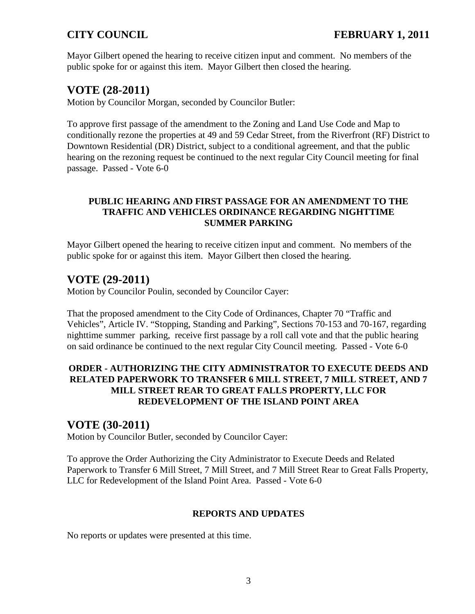Mayor Gilbert opened the hearing to receive citizen input and comment. No members of the public spoke for or against this item. Mayor Gilbert then closed the hearing.

# **VOTE (28-2011)**

Motion by Councilor Morgan, seconded by Councilor Butler:

To approve first passage of the amendment to the Zoning and Land Use Code and Map to conditionally rezone the properties at 49 and 59 Cedar Street, from the Riverfront (RF) District to Downtown Residential (DR) District, subject to a conditional agreement, and that the public hearing on the rezoning request be continued to the next regular City Council meeting for final passage. Passed - Vote 6-0

## **PUBLIC HEARING AND FIRST PASSAGE FOR AN AMENDMENT TO THE TRAFFIC AND VEHICLES ORDINANCE REGARDING NIGHTTIME SUMMER PARKING**

Mayor Gilbert opened the hearing to receive citizen input and comment. No members of the public spoke for or against this item. Mayor Gilbert then closed the hearing.

# **VOTE (29-2011)**

Motion by Councilor Poulin, seconded by Councilor Cayer:

That the proposed amendment to the City Code of Ordinances, Chapter 70 "Traffic and Vehicles", Article IV. "Stopping, Standing and Parking", Sections 70-153 and 70-167, regarding nighttime summer parking, receive first passage by a roll call vote and that the public hearing on said ordinance be continued to the next regular City Council meeting. Passed - Vote 6-0

## **ORDER - AUTHORIZING THE CITY ADMINISTRATOR TO EXECUTE DEEDS AND RELATED PAPERWORK TO TRANSFER 6 MILL STREET, 7 MILL STREET, AND 7 MILL STREET REAR TO GREAT FALLS PROPERTY, LLC FOR REDEVELOPMENT OF THE ISLAND POINT AREA**

# **VOTE (30-2011)**

Motion by Councilor Butler, seconded by Councilor Cayer:

To approve the Order Authorizing the City Administrator to Execute Deeds and Related Paperwork to Transfer 6 Mill Street, 7 Mill Street, and 7 Mill Street Rear to Great Falls Property, LLC for Redevelopment of the Island Point Area. Passed - Vote 6-0

## **REPORTS AND UPDATES**

No reports or updates were presented at this time.